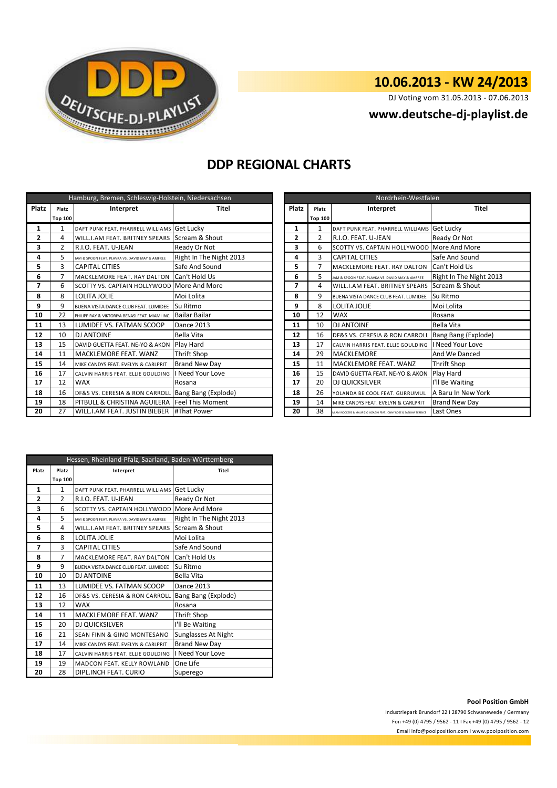

# **10.06.2013 - KW 24/2013**

DJ Voting vom 31.05.2013 - 07.06.2013

### **<www.deutsche-dj-playlist.de>**

## **DDP REGIONAL CHARTS**

| Hamburg, Bremen, Schleswig-Holstein, Niedersachsen |                |                                                    |                         |                | Nordrhein-Westfalen |                                                                     |                         |  |
|----------------------------------------------------|----------------|----------------------------------------------------|-------------------------|----------------|---------------------|---------------------------------------------------------------------|-------------------------|--|
| <b>Platz</b>                                       | Platz          | Interpret                                          | <b>Platz</b><br>Titel   |                | Platz               | Interpret                                                           | <b>Titel</b>            |  |
|                                                    | <b>Top 100</b> |                                                    |                         |                | <b>Top 100</b>      |                                                                     |                         |  |
| 1                                                  | 1              | DAFT PUNK FEAT. PHARRELL WILLIAMS Get Lucky        |                         | 1              | $\mathbf{1}$        | DAFT PUNK FEAT. PHARRELL WILLIAMS Get Lucky                         |                         |  |
| 2                                                  | 4              | WILL.I.AM FEAT. BRITNEY SPEARS Scream & Shout      |                         | $\overline{2}$ | $\overline{2}$      | R.I.O. FEAT. U-JEAN                                                 | Ready Or Not            |  |
| 3                                                  | 2              | R.I.O. FEAT. U-JEAN                                | Ready Or Not            | 3              | 6                   | SCOTTY VS. CAPTAIN HOLLYWOOD More And More                          |                         |  |
| 4                                                  | 5              | JAM & SPOON FEAT. PLAVKA VS. DAVID MAY & AMFREE    | Right In The Night 2013 | 4              | 3                   | <b>CAPITAL CITIES</b>                                               | Safe And Sound          |  |
| 5                                                  | 3              | Safe And Sound<br><b>CAPITAL CITIES</b>            |                         | 5              | $\overline{7}$      | MACKLEMORE FEAT. RAY DALTON                                         | Can't Hold Us           |  |
| 6                                                  | 7              | MACKLEMORE FEAT. RAY DALTON                        | Can't Hold Us           | 6              | 5                   | JAM & SPOON FEAT. PLAVKA VS. DAVID MAY & AMFREE                     | Right In The Night 2013 |  |
| 7                                                  | 6              | SCOTTY VS. CAPTAIN HOLLYWOOD More And More         |                         | 7              | 4                   | WILL I.AM FEAT. BRITNEY SPEARS                                      | Scream & Shout          |  |
| 8                                                  | 8              | LOLITA JOLIE                                       | Moi Lolita              | 8              | 9                   | BUENA VISTA DANCE CLUB FEAT. LUMIDEE                                | Su Ritmo                |  |
| 9                                                  | 9              | BUENA VISTA DANCE CLUB FEAT. LUMIDEE               | Su Ritmo                | 9              | 8                   | LOLITA JOLIE                                                        | Moi Lolita              |  |
| 10                                                 | 22             | PHILIPP RAY & VIKTORIYA BENASI FEAT. MIAMI INC.    | <b>Bailar Bailar</b>    | 10             | 12                  | <b>WAX</b>                                                          | Rosana                  |  |
| 11                                                 | 13             | LUMIDEE VS. FATMAN SCOOP                           | <b>Dance 2013</b>       | 11             | 10                  | <b>DJ ANTOINE</b>                                                   | Bella Vita              |  |
| 12                                                 | 10             | <b>DJ ANTOINE</b>                                  | Bella Vita              | 12             | 16                  | DF&S VS. CERESIA & RON CARROLL                                      | Bang Bang (Explode)     |  |
| 13                                                 | 15             | DAVID GUETTA FEAT. NE-YO & AKON                    | Play Hard               | 13             | 17                  | CALVIN HARRIS FEAT. ELLIE GOULDING                                  | I Need Your Love        |  |
| 14                                                 | 11             | MACKLEMORE FEAT. WANZ                              | <b>Thrift Shop</b>      | 14             | 29                  | <b>MACKLEMORE</b>                                                   | And We Danced           |  |
| 15                                                 | 14             | MIKE CANDYS FEAT. EVELYN & CARLPRIT                | <b>Brand New Day</b>    | 15             | 11                  | <b>MACKLEMORE FEAT. WANZ</b>                                        | Thrift Shop             |  |
| 16                                                 | 17             | CALVIN HARRIS FEAT. ELLIE GOULDING                 | I Need Your Love        | 16             | 15                  | DAVID GUETTA FEAT. NE-YO & AKON                                     | Play Hard               |  |
| 17                                                 | 12             | <b>WAX</b>                                         | Rosana                  | 17             | 20                  | <b>DJ QUICKSILVER</b>                                               | I'll Be Waiting         |  |
| 18                                                 | 16             | DF&S VS. CERESIA & RON CARROLL Bang Bang (Explode) |                         | 18             | 26                  | YOLANDA BE COOL FEAT, GURRUMUL                                      | A Baru In New York      |  |
| 19                                                 | 18             | PITBULL & CHRISTINA AGUILERA                       | <b>Feel This Moment</b> | 19             | 14                  | MIKE CANDYS FEAT. EVELYN & CARLPRIT                                 | <b>Brand New Day</b>    |  |
| 20                                                 | 27             | WILL.I.AM FEAT. JUSTIN BIEBER   #That Power        |                         | 20             | 38                  | MIAMI ROCKERS & MAURIZIO INZAGHI FEAT. JONNY ROSE & SABRINA TERENCE | Last Ones               |  |

| Nordrhein-Westfalen |                    |                                                                     |                         |  |  |
|---------------------|--------------------|---------------------------------------------------------------------|-------------------------|--|--|
| <b>Platz</b>        | Interpret<br>Platz |                                                                     | Titel                   |  |  |
|                     | <b>Top 100</b>     |                                                                     |                         |  |  |
| 1                   | $\mathbf{1}$       | DAFT PUNK FEAT. PHARRELL WILLIAMS                                   | Get Lucky               |  |  |
| 2                   | $\mathfrak{p}$     | R.I.O. FEAT. U-JEAN                                                 | Ready Or Not            |  |  |
| 3                   | 6                  | SCOTTY VS. CAPTAIN HOLLYWOOD More And More                          |                         |  |  |
| 4                   | 3                  | <b>CAPITAL CITIES</b>                                               | Safe And Sound          |  |  |
| 5                   | $\overline{7}$     | MACKLEMORE FEAT, RAY DALTON                                         | Can't Hold Us           |  |  |
| 6                   | 5                  | JAM & SPOON FEAT. PLAVKA VS. DAVID MAY & AMFREE                     | Right In The Night 2013 |  |  |
| 7                   | 4                  | WILL.I.AM FEAT. BRITNEY SPEARS                                      | Scream & Shout          |  |  |
| 8                   | 9                  | BUFNA VISTA DANCE CLUB FFAT. LUMIDEF                                | Su Ritmo                |  |  |
| 9                   | 8                  | <b>LOLITA JOLIE</b>                                                 | Moi Lolita              |  |  |
| 10                  | 12                 | <b>WAX</b>                                                          | Rosana                  |  |  |
| 11                  | 10                 | <b>DJ ANTOINE</b>                                                   | Bella Vita              |  |  |
| 12                  | 16                 | DF&S VS. CERESIA & RON CARROLL                                      | Bang Bang (Explode)     |  |  |
| 13                  | 17                 | CALVIN HARRIS FEAT. ELLIE GOULDING                                  | I Need Your Love        |  |  |
| 14                  | 29                 | <b>MACKLEMORE</b>                                                   | And We Danced           |  |  |
| 15                  | 11                 | MACKLEMORE FEAT. WANZ                                               | Thrift Shop             |  |  |
| 16                  | 15                 | DAVID GUETTA FEAT. NE-YO & AKON                                     | Play Hard               |  |  |
| 17                  | 20                 | DJ QUICKSILVER                                                      | I'll Be Waiting         |  |  |
| 18                  | 26                 | YOLANDA BE COOL FEAT, GURRUMUL                                      | A Baru In New York      |  |  |
| 19                  | 14                 | MIKE CANDYS FEAT. EVELYN & CARLPRIT                                 | Brand New Day           |  |  |
| 20                  | 38                 | MIAMI ROCKERS & MAURIZIO INZAGHI FEAT. JONNY ROSE & SABRINA TERENCE | Last Ones               |  |  |

| Hessen, Rheinland-Pfalz, Saarland, Baden-Württemberg |                    |                                                 |                         |  |  |
|------------------------------------------------------|--------------------|-------------------------------------------------|-------------------------|--|--|
| Platz                                                | Platz<br>Interpret |                                                 | <b>Titel</b>            |  |  |
|                                                      | <b>Top 100</b>     |                                                 |                         |  |  |
| 1                                                    | $\mathbf{1}$       | DAFT PUNK FEAT. PHARRELL WILLIAMS               | Get Lucky               |  |  |
| 2                                                    | $\overline{2}$     | R.I.O. FEAT. U-JEAN                             | Ready Or Not            |  |  |
| 3                                                    | 6                  | SCOTTY VS. CAPTAIN HOLLYWOOD                    | More And More           |  |  |
| 4                                                    | 5                  | JAM & SPOON FEAT. PLAVKA VS. DAVID MAY & AMFREE | Right In The Night 2013 |  |  |
| 5                                                    | 4                  | WILL.I.AM FEAT. BRITNEY SPEARS                  | Scream & Shout          |  |  |
| 6                                                    | 8                  | <b>LOLITA JOLIE</b>                             | Moi Lolita              |  |  |
| 7                                                    | 3                  | <b>CAPITAL CITIES</b>                           | Safe And Sound          |  |  |
| 8                                                    | 7                  | MACKLEMORE FEAT, RAY DALTON                     | Can't Hold Us           |  |  |
| 9                                                    | 9                  | BUENA VISTA DANCE CLUB FEAT. LUMIDEE            | Su Ritmo                |  |  |
| 10                                                   | 10                 | DJ ANTOINE                                      | Bella Vita              |  |  |
| 11                                                   | 13                 | LUMIDEE VS. FATMAN SCOOP                        | <b>Dance 2013</b>       |  |  |
| 12                                                   | 16                 | DF&S VS. CERESIA & RON CARROLL                  | Bang Bang (Explode)     |  |  |
| 13                                                   | 12                 | <b>WAX</b>                                      | Rosana                  |  |  |
| 14                                                   | 11                 | MACKLEMORE FEAT, WANZ                           | <b>Thrift Shop</b>      |  |  |
| 15                                                   | 20                 | DJ QUICKSILVER                                  | I'll Be Waiting         |  |  |
| 16                                                   | 21                 | <b>SEAN FINN &amp; GINO MONTESANO</b>           | Sunglasses At Night     |  |  |
| 17                                                   | 14                 | MIKE CANDYS FEAT. EVELYN & CARLPRIT             | <b>Brand New Day</b>    |  |  |
| 18                                                   | 17                 | CALVIN HARRIS FEAT. ELLIE GOULDING              | I Need Your Love        |  |  |
| 19                                                   | 19                 | <b>MADCON FEAT, KELLY ROWLAND</b>               | One Life                |  |  |
| 20                                                   | 28                 | DIPL.INCH FEAT. CURIO                           | Superego                |  |  |

### **Pool Position GmbH**

Industriepark Brundorf 22 I 28790 Schwanewede / Germany Fon +49 (0) 4795 / 9562 - 11 I Fax +49 (0) 4795 / 9562 - 12 <Email info@poolposition.com I www.poolposition.com>